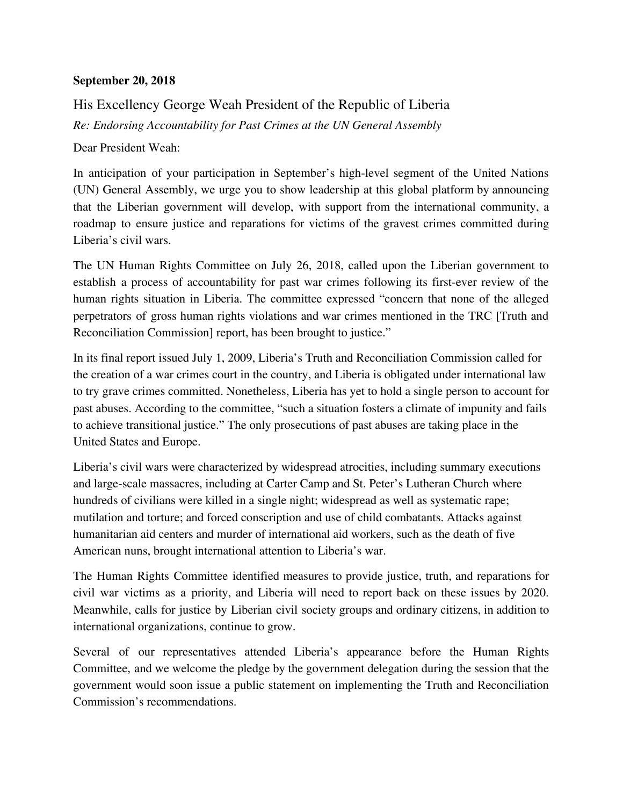## **September 20, 2018**

## His Excellency George Weah President of the Republic of Liberia *Re: Endorsing Accountability for Past Crimes at the UN General Assembly*

Dear President Weah:

In anticipation of your participation in September's high-level segment of the United Nations (UN) General Assembly, we urge you to show leadership at this global platform by announcing that the Liberian government will develop, with support from the international community, a roadmap to ensure justice and reparations for victims of the gravest crimes committed during Liberia's civil wars.

The UN Human Rights Committee on July 26, 2018, called upon the Liberian government to establish a process of accountability for past war crimes following its first-ever review of the human rights situation in Liberia. The committee expressed "concern that none of the alleged perpetrators of gross human rights violations and war crimes mentioned in the TRC [Truth and Reconciliation Commission] report, has been brought to justice."

In its final report issued July 1, 2009, Liberia's Truth and Reconciliation Commission called for the creation of a war crimes court in the country, and Liberia is obligated under international law to try grave crimes committed. Nonetheless, Liberia has yet to hold a single person to account for past abuses. According to the committee, "such a situation fosters a climate of impunity and fails to achieve transitional justice." The only prosecutions of past abuses are taking place in the United States and Europe.

Liberia's civil wars were characterized by widespread atrocities, including summary executions and large-scale massacres, including at Carter Camp and St. Peter's Lutheran Church where hundreds of civilians were killed in a single night; widespread as well as systematic rape; mutilation and torture; and forced conscription and use of child combatants. Attacks against humanitarian aid centers and murder of international aid workers, such as the death of five American nuns, brought international attention to Liberia's war.

The Human Rights Committee identified measures to provide justice, truth, and reparations for civil war victims as a priority, and Liberia will need to report back on these issues by 2020. Meanwhile, calls for justice by Liberian civil society groups and ordinary citizens, in addition to international organizations, continue to grow.

Several of our representatives attended Liberia's appearance before the Human Rights Committee, and we welcome the pledge by the government delegation during the session that the government would soon issue a public statement on implementing the Truth and Reconciliation Commission's recommendations.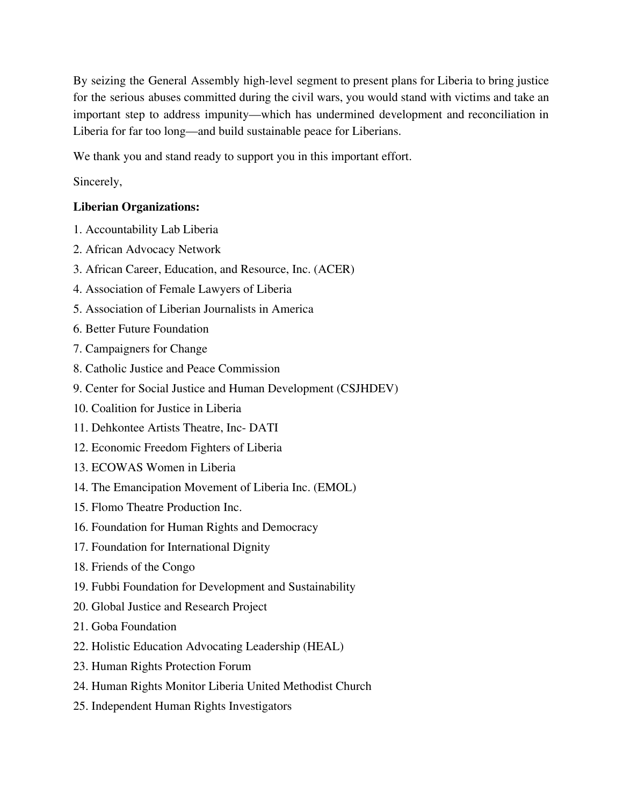By seizing the General Assembly high-level segment to present plans for Liberia to bring justice for the serious abuses committed during the civil wars, you would stand with victims and take an important step to address impunity—which has undermined development and reconciliation in Liberia for far too long—and build sustainable peace for Liberians.

We thank you and stand ready to support you in this important effort.

Sincerely,

## **Liberian Organizations:**

- 1. Accountability Lab Liberia
- 2. African Advocacy Network
- 3. African Career, Education, and Resource, Inc. (ACER)
- 4. Association of Female Lawyers of Liberia
- 5. Association of Liberian Journalists in America
- 6. Better Future Foundation
- 7. Campaigners for Change
- 8. Catholic Justice and Peace Commission
- 9. Center for Social Justice and Human Development (CSJHDEV)
- 10. Coalition for Justice in Liberia
- 11. Dehkontee Artists Theatre, Inc- DATI
- 12. Economic Freedom Fighters of Liberia
- 13. ECOWAS Women in Liberia
- 14. The Emancipation Movement of Liberia Inc. (EMOL)
- 15. Flomo Theatre Production Inc.
- 16. Foundation for Human Rights and Democracy
- 17. Foundation for International Dignity
- 18. Friends of the Congo
- 19. Fubbi Foundation for Development and Sustainability
- 20. Global Justice and Research Project
- 21. Goba Foundation
- 22. Holistic Education Advocating Leadership (HEAL)
- 23. Human Rights Protection Forum
- 24. Human Rights Monitor Liberia United Methodist Church
- 25. Independent Human Rights Investigators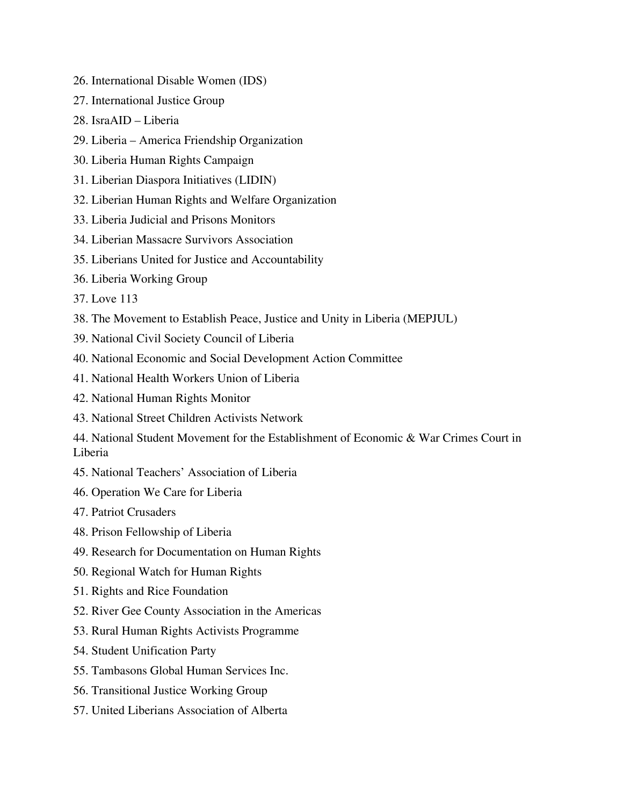- 26. International Disable Women (IDS)
- 27. International Justice Group
- 28. IsraAID Liberia
- 29. Liberia America Friendship Organization
- 30. Liberia Human Rights Campaign
- 31. Liberian Diaspora Initiatives (LIDIN)
- 32. Liberian Human Rights and Welfare Organization
- 33. Liberia Judicial and Prisons Monitors
- 34. Liberian Massacre Survivors Association
- 35. Liberians United for Justice and Accountability
- 36. Liberia Working Group
- 37. Love 113
- 38. The Movement to Establish Peace, Justice and Unity in Liberia (MEPJUL)
- 39. National Civil Society Council of Liberia
- 40. National Economic and Social Development Action Committee
- 41. National Health Workers Union of Liberia
- 42. National Human Rights Monitor
- 43. National Street Children Activists Network
- 44. National Student Movement for the Establishment of Economic & War Crimes Court in Liberia
- 45. National Teachers' Association of Liberia
- 46. Operation We Care for Liberia
- 47. Patriot Crusaders
- 48. Prison Fellowship of Liberia
- 49. Research for Documentation on Human Rights
- 50. Regional Watch for Human Rights
- 51. Rights and Rice Foundation
- 52. River Gee County Association in the Americas
- 53. Rural Human Rights Activists Programme
- 54. Student Unification Party
- 55. Tambasons Global Human Services Inc.
- 56. Transitional Justice Working Group
- 57. United Liberians Association of Alberta